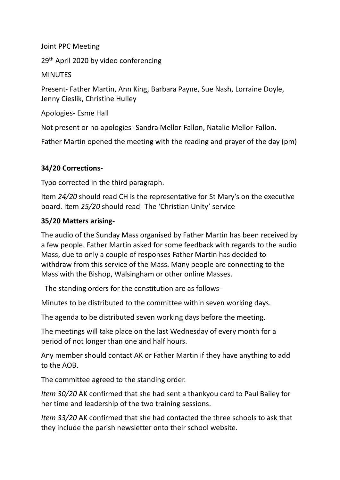Joint PPC Meeting

29<sup>th</sup> April 2020 by video conferencing

**MINUTES** 

Present- Father Martin, Ann King, Barbara Payne, Sue Nash, Lorraine Doyle, Jenny Cieslik, Christine Hulley

Apologies- Esme Hall

Not present or no apologies- Sandra Mellor-Fallon, Natalie Mellor-Fallon.

Father Martin opened the meeting with the reading and prayer of the day (pm)

# **34/20 Corrections-**

Typo corrected in the third paragraph.

Item *24/20* should read CH is the representative for St Mary's on the executive board. Item *25/20* should read- The 'Christian Unity' service

### **35/20 Matters arising-**

The audio of the Sunday Mass organised by Father Martin has been received by a few people. Father Martin asked for some feedback with regards to the audio Mass, due to only a couple of responses Father Martin has decided to withdraw from this service of the Mass. Many people are connecting to the Mass with the Bishop, Walsingham or other online Masses.

The standing orders for the constitution are as follows-

Minutes to be distributed to the committee within seven working days.

The agenda to be distributed seven working days before the meeting.

The meetings will take place on the last Wednesday of every month for a period of not longer than one and half hours.

Any member should contact AK or Father Martin if they have anything to add to the AOB.

The committee agreed to the standing order.

*Item 30/20* AK confirmed that she had sent a thankyou card to Paul Bailey for her time and leadership of the two training sessions.

*Item 33/20* AK confirmed that she had contacted the three schools to ask that they include the parish newsletter onto their school website.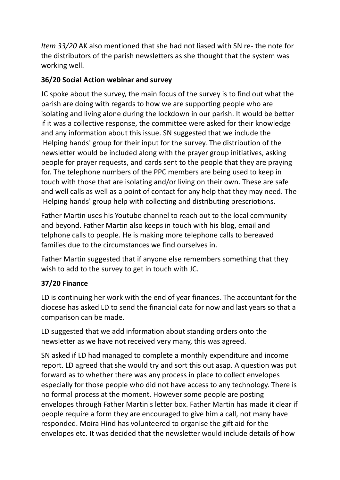*Item 33/20* AK also mentioned that she had not liased with SN re- the note for the distributors of the parish newsletters as she thought that the system was working well.

### **36/20 Social Action webinar and survey**

JC spoke about the survey, the main focus of the survey is to find out what the parish are doing with regards to how we are supporting people who are isolating and living alone during the lockdown in our parish. It would be better if it was a collective response, the committee were asked for their knowledge and any information about this issue. SN suggested that we include the 'Helping hands' group for their input for the survey. The distribution of the newsletter would be included along with the prayer group initiatives, asking people for prayer requests, and cards sent to the people that they are praying for. The telephone numbers of the PPC members are being used to keep in touch with those that are isolating and/or living on their own. These are safe and well calls as well as a point of contact for any help that they may need. The 'Helping hands' group help with collecting and distributing prescriotions.

Father Martin uses his Youtube channel to reach out to the local community and beyond. Father Martin also keeps in touch with his blog, email and telphone calls to people. He is making more telephone calls to bereaved families due to the circumstances we find ourselves in.

Father Martin suggested that if anyone else remembers something that they wish to add to the survey to get in touch with JC.

# **37/20 Finance**

LD is continuing her work with the end of year finances. The accountant for the diocese has asked LD to send the financial data for now and last years so that a comparison can be made.

LD suggested that we add information about standing orders onto the newsletter as we have not received very many, this was agreed.

SN asked if LD had managed to complete a monthly expenditure and income report. LD agreed that she would try and sort this out asap. A question was put forward as to whether there was any process in place to collect envelopes especially for those people who did not have access to any technology. There is no formal process at the moment. However some people are posting envelopes through Father Martin's letter box. Father Martin has made it clear if people require a form they are encouraged to give him a call, not many have responded. Moira Hind has volunteered to organise the gift aid for the envelopes etc. It was decided that the newsletter would include details of how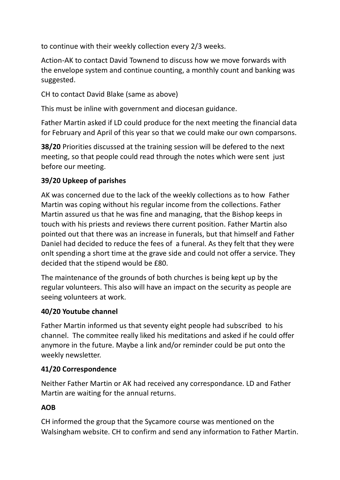to continue with their weekly collection every 2/3 weeks.

Action-AK to contact David Townend to discuss how we move forwards with the envelope system and continue counting, a monthly count and banking was suggested.

CH to contact David Blake (same as above)

This must be inline with government and diocesan guidance.

Father Martin asked if LD could produce for the next meeting the financial data for February and April of this year so that we could make our own comparsons.

**38/20** Priorities discussed at the training session will be defered to the next meeting, so that people could read through the notes which were sent just before our meeting.

# **39/20 Upkeep of parishes**

AK was concerned due to the lack of the weekly collections as to how Father Martin was coping without his regular income from the collections. Father Martin assured us that he was fine and managing, that the Bishop keeps in touch with his priests and reviews there current position. Father Martin also pointed out that there was an increase in funerals, but that himself and Father Daniel had decided to reduce the fees of a funeral. As they felt that they were onlt spending a short time at the grave side and could not offer a service. They decided that the stipend would be £80.

The maintenance of the grounds of both churches is being kept up by the regular volunteers. This also will have an impact on the security as people are seeing volunteers at work.

### **40/20 Youtube channel**

Father Martin informed us that seventy eight people had subscribed to his channel. The commitee really liked his meditations and asked if he could offer anymore in the future. Maybe a link and/or reminder could be put onto the weekly newsletter.

### **41/20 Correspondence**

Neither Father Martin or AK had received any correspondance. LD and Father Martin are waiting for the annual returns.

# **AOB**

CH informed the group that the Sycamore course was mentioned on the Walsingham website. CH to confirm and send any information to Father Martin.